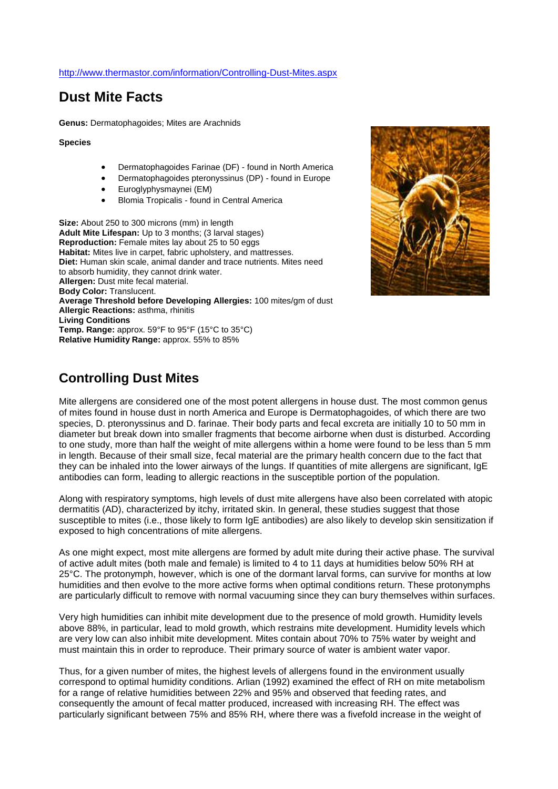## **Dust Mite Facts**

**Genus:** Dermatophagoides; Mites are Arachnids

**Species**

- Dermatophagoides Farinae (DF) found in North America
- Dermatophagoides pteronyssinus (DP) found in Europe
- Euroglyphysmaynei (EM)
- Blomia Tropicalis found in Central America

**Size:** About 250 to 300 microns (mm) in length **Adult Mite Lifespan:** Up to 3 months; (3 larval stages) **Reproduction:** Female mites lay about 25 to 50 eggs **Habitat:** Mites live in carpet, fabric upholstery, and mattresses. **Diet:** Human skin scale, animal dander and trace nutrients. Mites need to absorb humidity, they cannot drink water. **Allergen:** Dust mite fecal material. **Body Color:** Translucent. **Average Threshold before Developing Allergies:** 100 mites/gm of dust **Allergic Reactions:** asthma, rhinitis **Living Conditions Temp. Range:** approx. 59°F to 95°F (15°C to 35°C) **Relative Humidity Range:** approx. 55% to 85%



## **Controlling Dust Mites**

Mite allergens are considered one of the most potent allergens in house dust. The most common genus of mites found in house dust in north America and Europe is Dermatophagoides, of which there are two species, D. pteronyssinus and D. farinae. Their body parts and fecal excreta are initially 10 to 50 mm in diameter but break down into smaller fragments that become airborne when dust is disturbed. According to one study, more than half the weight of mite allergens within a home were found to be less than 5 mm in length. Because of their small size, fecal material are the primary health concern due to the fact that they can be inhaled into the lower airways of the lungs. If quantities of mite allergens are significant, IgE antibodies can form, leading to allergic reactions in the susceptible portion of the population.

Along with respiratory symptoms, high levels of dust mite allergens have also been correlated with atopic dermatitis (AD), characterized by itchy, irritated skin. In general, these studies suggest that those susceptible to mites (i.e., those likely to form IgE antibodies) are also likely to develop skin sensitization if exposed to high concentrations of mite allergens.

As one might expect, most mite allergens are formed by adult mite during their active phase. The survival of active adult mites (both male and female) is limited to 4 to 11 days at humidities below 50% RH at 25°C. The protonymph, however, which is one of the dormant larval forms, can survive for months at low humidities and then evolve to the more active forms when optimal conditions return. These protonymphs are particularly difficult to remove with normal vacuuming since they can bury themselves within surfaces.

Very high humidities can inhibit mite development due to the presence of mold growth. Humidity levels above 88%, in particular, lead to mold growth, which restrains mite development. Humidity levels which are very low can also inhibit mite development. Mites contain about 70% to 75% water by weight and must maintain this in order to reproduce. Their primary source of water is ambient water vapor.

Thus, for a given number of mites, the highest levels of allergens found in the environment usually correspond to optimal humidity conditions. Arlian (1992) examined the effect of RH on mite metabolism for a range of relative humidities between 22% and 95% and observed that feeding rates, and consequently the amount of fecal matter produced, increased with increasing RH. The effect was particularly significant between 75% and 85% RH, where there was a fivefold increase in the weight of